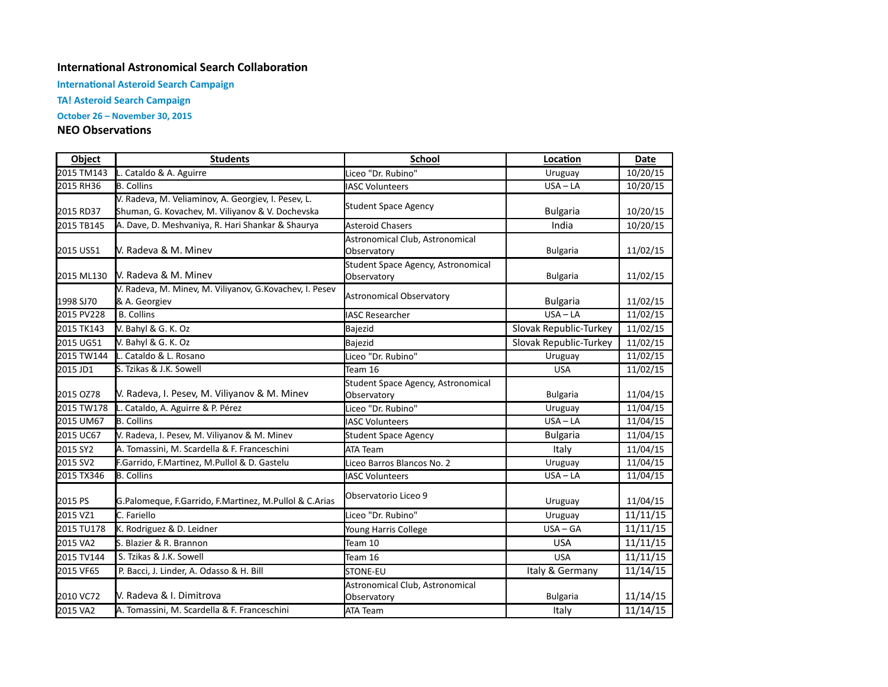## **International Astronomical Search Collaboration**

**International Asteroid Search Campaign** 

**TA! Asteroid Search Campaign**

**October 26 – November 30, 2015** 

## **NEO Observations**

| Object     | <b>Students</b>                                                                                         | <b>School</b>                                     | Location               | <b>Date</b> |
|------------|---------------------------------------------------------------------------------------------------------|---------------------------------------------------|------------------------|-------------|
| 2015 TM143 | L. Cataldo & A. Aguirre                                                                                 | Liceo "Dr. Rubino"                                | Uruguay                | 10/20/15    |
| 2015 RH36  | <b>B.</b> Collins                                                                                       | <b>IASC Volunteers</b>                            | $USA - LA$             | 10/20/15    |
| 2015 RD37  | V. Radeva, M. Veliaminov, A. Georgiev, I. Pesev, L.<br>Shuman, G. Kovachev, M. Viliyanov & V. Dochevska | <b>Student Space Agency</b>                       | <b>Bulgaria</b>        | 10/20/15    |
| 2015 TB145 | A. Dave, D. Meshvaniya, R. Hari Shankar & Shaurya                                                       | <b>Asteroid Chasers</b>                           | India                  | 10/20/15    |
| 2015 US51  | V. Radeva & M. Minev                                                                                    | Astronomical Club, Astronomical<br>Observatory    | <b>Bulgaria</b>        | 11/02/15    |
| 2015 ML130 | V. Radeva & M. Minev                                                                                    | Student Space Agency, Astronomical<br>Observatory | <b>Bulgaria</b>        | 11/02/15    |
| 1998 SJ70  | V. Radeva, M. Minev, M. Viliyanov, G. Kovachev, I. Pesev<br>& A. Georgiev                               | <b>Astronomical Observatory</b>                   | <b>Bulgaria</b>        | 11/02/15    |
| 2015 PV228 | <b>B.</b> Collins                                                                                       | <b>IASC Researcher</b>                            | $USA - LA$             | 11/02/15    |
| 2015 TK143 | V. Bahyl & G. K. Oz                                                                                     | Bajezid                                           | Slovak Republic-Turkey | 11/02/15    |
| 2015 UG51  | V. Bahyl & G. K. Oz                                                                                     | Bajezid                                           | Slovak Republic-Turkey | 11/02/15    |
| 2015 TW144 | L. Cataldo & L. Rosano                                                                                  | Liceo "Dr. Rubino"                                | Uruguay                | 11/02/15    |
| 2015 JD1   | S. Tzikas & J.K. Sowell                                                                                 | Team 16                                           | <b>USA</b>             | 11/02/15    |
| 2015 OZ78  | V. Radeva, I. Pesev, M. Viliyanov & M. Minev                                                            | Student Space Agency, Astronomical<br>Observatory | <b>Bulgaria</b>        | 11/04/15    |
| 2015 TW178 | L. Cataldo, A. Aguirre & P. Pérez                                                                       | Liceo "Dr. Rubino"                                | Uruguay                | 11/04/15    |
| 2015 UM67  | <b>B.</b> Collins                                                                                       | <b>IASC Volunteers</b>                            | $USA - LA$             | 11/04/15    |
| 2015 UC67  | V. Radeva, I. Pesev, M. Viliyanov & M. Minev                                                            | <b>Student Space Agency</b>                       | <b>Bulgaria</b>        | 11/04/15    |
| 2015 SY2   | A. Tomassini, M. Scardella & F. Franceschini                                                            | <b>ATA Team</b>                                   | Italy                  | 11/04/15    |
| 2015 SV2   | F.Garrido, F.Martinez, M.Pullol & D. Gastelu                                                            | Liceo Barros Blancos No. 2                        | Uruguay                | 11/04/15    |
| 2015 TX346 | <b>B.</b> Collins                                                                                       | <b>IASC Volunteers</b>                            | $USA - LA$             | 11/04/15    |
| 2015 PS    | G.Palomeque, F.Garrido, F.Martinez, M.Pullol & C.Arias                                                  | Observatorio Liceo 9                              | Uruguay                | 11/04/15    |
| 2015 VZ1   | C. Fariello                                                                                             | Liceo "Dr. Rubino"                                | Uruguay                | 11/11/15    |
| 2015 TU178 | K. Rodriguez & D. Leidner                                                                               | Young Harris College                              | $USA - GA$             | 11/11/15    |
| 2015 VA2   | S. Blazier & R. Brannon                                                                                 | Team 10                                           | <b>USA</b>             | 11/11/15    |
| 2015 TV144 | S. Tzikas & J.K. Sowell                                                                                 | Team 16                                           | <b>USA</b>             | 11/11/15    |
| 2015 VF65  | P. Bacci, J. Linder, A. Odasso & H. Bill                                                                | STONE-EU                                          | Italy & Germany        | 11/14/15    |
| 2010 VC72  | V. Radeva & I. Dimitrova                                                                                | Astronomical Club, Astronomical<br>Observatory    | <b>Bulgaria</b>        | 11/14/15    |
| 2015 VA2   | A. Tomassini, M. Scardella & F. Franceschini                                                            | ATA Team                                          | Italy                  | 11/14/15    |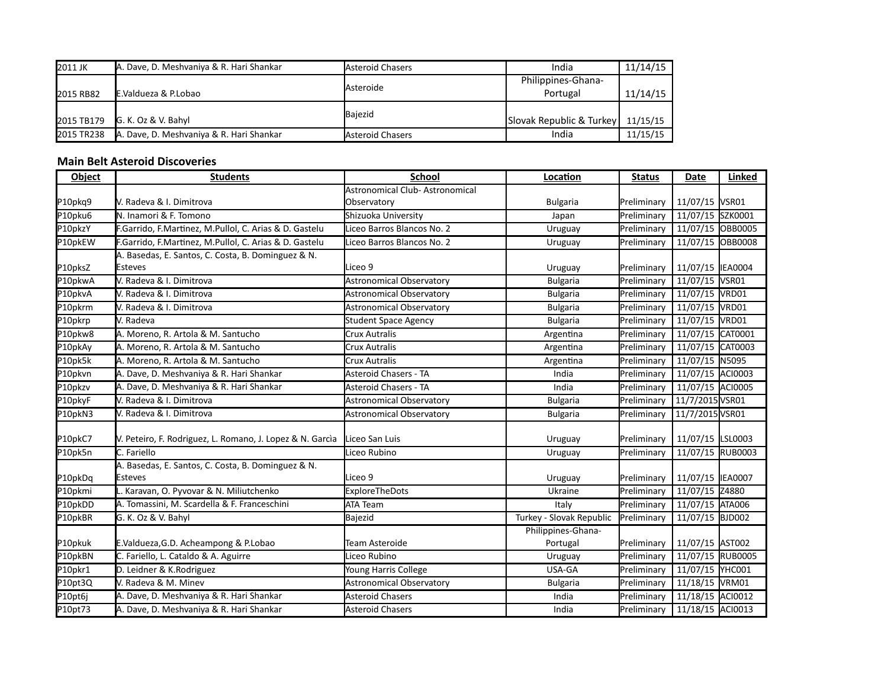| 2011 JK          | A. Dave, D. Meshvaniya & R. Hari Shankar | <b>Asteroid Chasers</b> | India                    | 11/14/15 |
|------------------|------------------------------------------|-------------------------|--------------------------|----------|
|                  |                                          | <b>Asteroide</b>        | Philippines-Ghana-       |          |
| <b>2015 RB82</b> | E.Valdueza & P.Lobao                     |                         | Portugal                 | 11/14/15 |
|                  |                                          | Bajezid                 |                          |          |
| 2015 TB179       | G. K. Oz & V. Bahyl                      |                         | Slovak Republic & Turkey | 11/15/15 |
| 2015 TR238       | A. Dave, D. Meshvaniya & R. Hari Shankar | <b>Asteroid Chasers</b> | India                    | 11/15/15 |

## **Main Belt Asteroid Discoveries**

| Object  | <b>Students</b>                                           | <b>School</b>                   | Location                 | <b>Status</b> | Date              | Linked         |
|---------|-----------------------------------------------------------|---------------------------------|--------------------------|---------------|-------------------|----------------|
|         |                                                           | Astronomical Club- Astronomical |                          |               |                   |                |
| P10pkq9 | V. Radeva & I. Dimitrova                                  | Observatory                     | <b>Bulgaria</b>          | Preliminary   | 11/07/15 VSR01    |                |
| P10pku6 | N. Inamori & F. Tomono                                    | Shizuoka University             | Japan                    | Preliminary   | 11/07/15 SZK0001  |                |
| P10pkzY | F.Garrido, F.Martinez, M.Pullol, C. Arias & D. Gastelu    | Liceo Barros Blancos No. 2      | Uruguay                  | Preliminary   | 11/07/15          | <b>OBB0005</b> |
| P10pkEW | F.Garrido, F.Martinez, M.Pullol, C. Arias & D. Gastelu    | Liceo Barros Blancos No. 2      | Uruguay                  | Preliminary   | 11/07/15          | <b>OBB0008</b> |
|         | A. Basedas, E. Santos, C. Costa, B. Dominguez & N.        |                                 |                          |               |                   |                |
| P10pksZ | <b>Esteves</b>                                            | <b>I</b> Liceo 9                | Uruguay                  | Preliminary   | 11/07/15  IEA0004 |                |
| P10pkwA | V. Radeva & I. Dimitrova                                  | <b>Astronomical Observatory</b> | <b>Bulgaria</b>          | Preliminary   | 11/07/15          | VSR01          |
| P10pkvA | V. Radeva & I. Dimitrova                                  | <b>Astronomical Observatory</b> | <b>Bulgaria</b>          | Preliminary   | 11/07/15 VRD01    |                |
| P10pkrm | V. Radeva & I. Dimitrova                                  | <b>Astronomical Observatory</b> | <b>Bulgaria</b>          | Preliminary   | 11/07/15 VRD01    |                |
| P10pkrp | V. Radeva                                                 | <b>Student Space Agency</b>     | <b>Bulgaria</b>          | Preliminary   | 11/07/15 VRD01    |                |
| P10pkw8 | A. Moreno, R. Artola & M. Santucho                        | Crux Autralis                   | Argentina                | Preliminary   | 11/07/15          | CAT0001        |
| P10pkAy | A. Moreno, R. Artola & M. Santucho                        | Crux Autralis                   | Argentina                | Preliminary   | 11/07/15          | CAT0003        |
| P10pk5k | A. Moreno, R. Artola & M. Santucho                        | Crux Autralis                   | Argentina                | Preliminary   | 11/07/15          | N5095          |
| P10pkvn | A. Dave, D. Meshvaniya & R. Hari Shankar                  | Asteroid Chasers - TA           | India                    | Preliminary   | 11/07/15          | ACI0003        |
| P10pkzv | A. Dave, D. Meshvaniya & R. Hari Shankar                  | Asteroid Chasers - TA           | India                    | Preliminary   | 11/07/15 ACI0005  |                |
| P10pkyF | V. Radeva & I. Dimitrova                                  | <b>Astronomical Observatory</b> | <b>Bulgaria</b>          | Preliminary   | 11/7/2015 VSR01   |                |
| P10pkN3 | V. Radeva & I. Dimitrova                                  | <b>Astronomical Observatory</b> | <b>Bulgaria</b>          | Preliminary   | 11/7/2015 VSR01   |                |
|         |                                                           |                                 |                          |               |                   |                |
| P10pkC7 | V. Peteiro, F. Rodriguez, L. Romano, J. Lopez & N. Garcia | Liceo San Luis                  | Uruguay                  | Preliminary   | 11/07/15 LSL0003  |                |
| P10pk5n | C. Fariello                                               | Liceo Rubino                    | Uruguay                  | Preliminary   | 11/07/15 RUB0003  |                |
|         | A. Basedas, E. Santos, C. Costa, B. Dominguez & N.        |                                 |                          |               |                   |                |
| P10pkDq | <b>Esteves</b>                                            | Liceo 9                         | Uruguay                  | Preliminary   | 11/07/15          | <b>IEA0007</b> |
| P10pkmi | Karavan, O. Pyvovar & N. Miliutchenko                     | <b>ExploreTheDots</b>           | Ukraine                  | Preliminary   | 11/07/15 Z4880    |                |
| P10pkDD | A. Tomassini, M. Scardella & F. Franceschini              | ATA Team                        | Italy                    | Preliminary   | 11/07/15          | <b>ATA006</b>  |
| P10pkBR | G. K. Oz & V. Bahyl                                       | Bajezid                         | Turkey - Slovak Republic | Preliminary   | 11/07/15 BJD002   |                |
|         |                                                           |                                 | Philippines-Ghana-       |               |                   |                |
| P10pkuk | E.Valdueza, G.D. Acheampong & P.Lobao                     | Team Asteroide                  | Portugal                 | Preliminary   | 11/07/15 AST002   |                |
| P10pkBN | C. Fariello, L. Cataldo & A. Aguirre                      | Liceo Rubino                    | Uruguay                  | Preliminary   | 11/07/15 RUB0005  |                |
| P10pkr1 | D. Leidner & K.Rodriguez                                  | Young Harris College            | USA-GA                   | Preliminary   | 11/07/15 YHC001   |                |
| P10pt3Q | V. Radeva & M. Minev                                      | Astronomical Observatory        | <b>Bulgaria</b>          | Preliminary   | 11/18/15          | VRM01          |
| P10pt6j | A. Dave, D. Meshvaniya & R. Hari Shankar                  | <b>Asteroid Chasers</b>         | India                    | Preliminary   | 11/18/15 ACI0012  |                |
| P10pt73 | A. Dave, D. Meshvaniya & R. Hari Shankar                  | Asteroid Chasers                | India                    | Preliminary   | 11/18/15 ACI0013  |                |